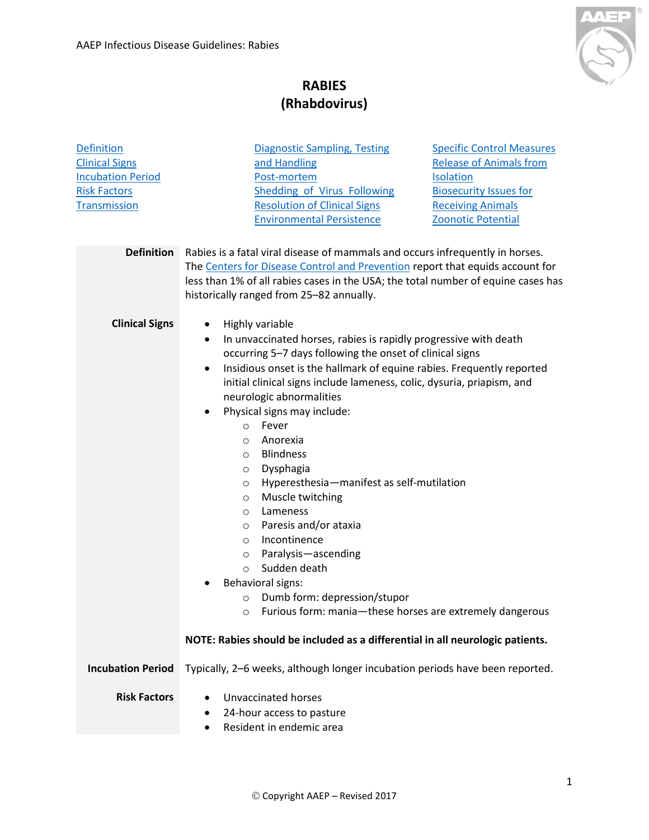

## **RABIES (Rhabdovirus)**

<span id="page-0-3"></span><span id="page-0-2"></span><span id="page-0-1"></span><span id="page-0-0"></span>

| <b>Definition</b><br><b>Clinical Signs</b><br><b>Incubation Period</b><br><b>Risk Factors</b><br><b>Transmission</b> | <b>Diagnostic Sampling, Testing</b><br><b>Specific Control Measures</b><br>and Handling<br><b>Release of Animals from</b><br>Post-mortem<br><b>Isolation</b><br><b>Shedding of Virus Following</b><br><b>Biosecurity Issues for</b><br><b>Resolution of Clinical Signs</b><br><b>Receiving Animals</b><br><b>Environmental Persistence</b><br><b>Zoonotic Potential</b>                                                                                                                                                                                                                                                                                                                                                                                                                                                                                                                                                                                                                     |
|----------------------------------------------------------------------------------------------------------------------|---------------------------------------------------------------------------------------------------------------------------------------------------------------------------------------------------------------------------------------------------------------------------------------------------------------------------------------------------------------------------------------------------------------------------------------------------------------------------------------------------------------------------------------------------------------------------------------------------------------------------------------------------------------------------------------------------------------------------------------------------------------------------------------------------------------------------------------------------------------------------------------------------------------------------------------------------------------------------------------------|
| <b>Definition</b>                                                                                                    | Rabies is a fatal viral disease of mammals and occurs infrequently in horses.<br>The Centers for Disease Control and Prevention report that equids account for<br>less than 1% of all rabies cases in the USA; the total number of equine cases has<br>historically ranged from 25-82 annually.                                                                                                                                                                                                                                                                                                                                                                                                                                                                                                                                                                                                                                                                                             |
| <b>Clinical Signs</b>                                                                                                | Highly variable<br>$\bullet$<br>In unvaccinated horses, rabies is rapidly progressive with death<br>$\bullet$<br>occurring 5-7 days following the onset of clinical signs<br>Insidious onset is the hallmark of equine rabies. Frequently reported<br>$\bullet$<br>initial clinical signs include lameness, colic, dysuria, priapism, and<br>neurologic abnormalities<br>Physical signs may include:<br>$\bullet$<br>Fever<br>$\circ$<br>Anorexia<br>$\circ$<br><b>Blindness</b><br>$\circ$<br>Dysphagia<br>$\circ$<br>Hyperesthesia-manifest as self-mutilation<br>$\circ$<br>Muscle twitching<br>$\circ$<br>Lameness<br>$\circ$<br>Paresis and/or ataxia<br>$\circ$<br>Incontinence<br>$\circ$<br>Paralysis-ascending<br>$\circ$<br>Sudden death<br>$\circ$<br><b>Behavioral signs:</b><br>٠<br>Dumb form: depression/stupor<br>$\circ$<br>Furious form: mania-these horses are extremely dangerous<br>O<br>NOTE: Rabies should be included as a differential in all neurologic patients. |
| <b>Incubation Period</b>                                                                                             | Typically, 2-6 weeks, although longer incubation periods have been reported.                                                                                                                                                                                                                                                                                                                                                                                                                                                                                                                                                                                                                                                                                                                                                                                                                                                                                                                |
| <b>Risk Factors</b>                                                                                                  | <b>Unvaccinated horses</b><br>٠<br>24-hour access to pasture<br>Resident in endemic area<br>$\bullet$                                                                                                                                                                                                                                                                                                                                                                                                                                                                                                                                                                                                                                                                                                                                                                                                                                                                                       |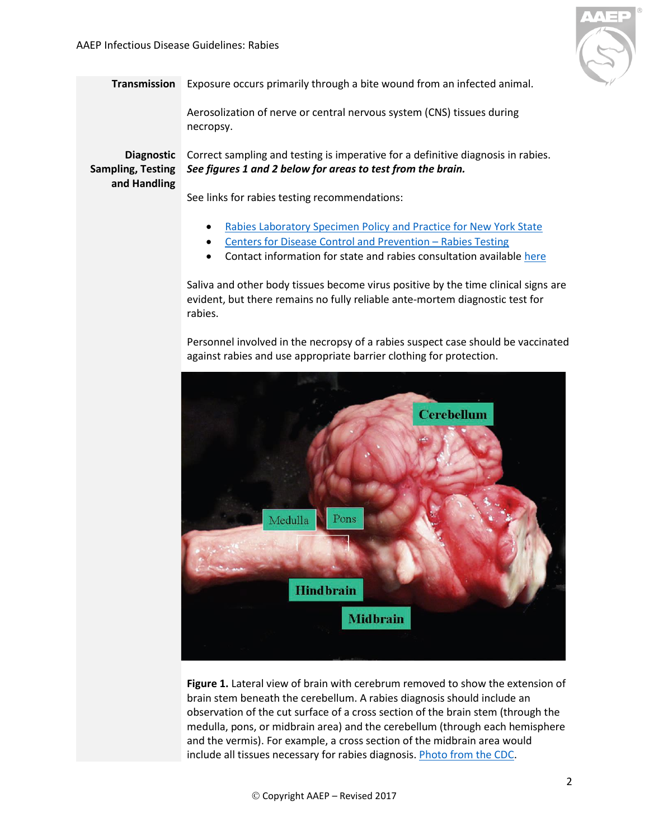

<span id="page-1-0"></span>**Transmission** Exposure occurs primarily through a bite wound from an infected animal.

Aerosolization of nerve or central nervous system (CNS) tissues during necropsy.

<span id="page-1-1"></span>**and Handling**

Diagnostic Correct sampling and testing is imperative for a definitive diagnosis in rabies. **Sampling, Testing**  *See figures 1 and 2 below for areas to test from the brain.*

See links for rabies testing recommendations:

- [Rabies Laboratory Specimen Policy and Practice for New York State](http://ahdc.vet.cornell.edu/docs/Rabies_NYS_Lab_Instructions.pdf)
- [Centers for Disease Control and Prevention](http://www.cdc.gov/rabies/specific_groups/veterinarians/testing.html)  Rabies Testing
- Contact information for state and rabies consultation available [here](http://www.cdc.gov/rabies/resources/contacts.html)

Saliva and other body tissues become virus positive by the time clinical signs are evident, but there remains no fully reliable ante-mortem diagnostic test for rabies.

Personnel involved in the necropsy of a rabies suspect case should be vaccinated against rabies and use appropriate barrier clothing for protection.



**Figure 1.** Lateral view of brain with cerebrum removed to show the extension of brain stem beneath the cerebellum. A rabies diagnosis should include an observation of the cut surface of a cross section of the brain stem (through the medulla, pons, or midbrain area) and the cerebellum (through each hemisphere and the vermis). For example, a cross section of the midbrain area would include all tissues necessary for rabies diagnosis[. Photo from the CDC.](https://www.cdc.gov/rabies/pdf/RabiesDFASPv2.pdf)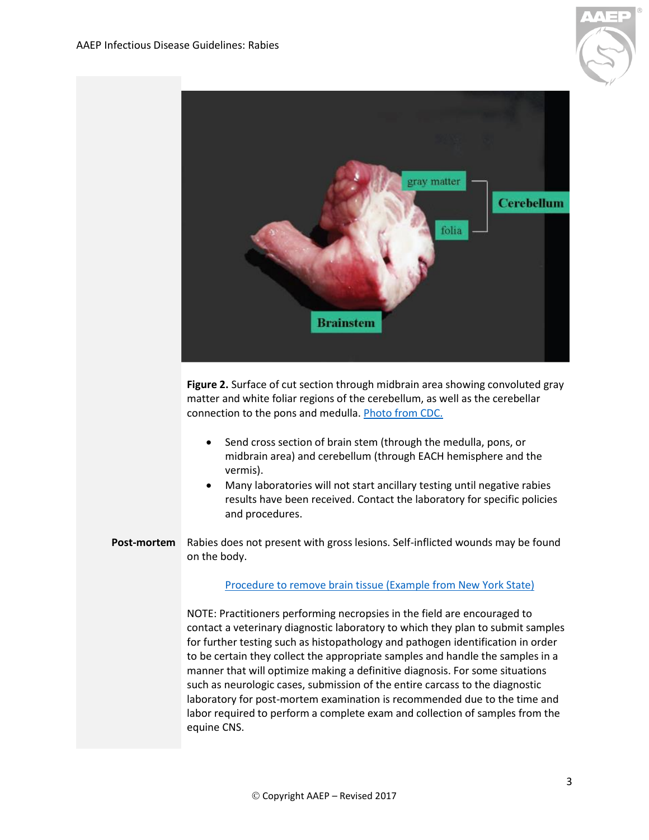



**Figure 2.** Surface of cut section through midbrain area showing convoluted gray matter and white foliar regions of the cerebellum, as well as the cerebellar connection to the pons and medulla. [Photo from CDC.](https://www.cdc.gov/rabies/pdf/RabiesDFASPv2.pdf) 

- Send cross section of brain stem (through the medulla, pons, or midbrain area) and cerebellum (through EACH hemisphere and the vermis).
- Many laboratories will not start ancillary testing until negative rabies results have been received. Contact the laboratory for specific policies and procedures.
- <span id="page-2-0"></span>**Post-mortem** Rabies does not present with gross lesions. Self-inflicted wounds may be found on the body.

## [Procedure to remove brain tissue \(Example from New York State\)](http://www.wadsworth.org/rabies/prof/livestk.htm)

NOTE: Practitioners performing necropsies in the field are encouraged to contact a veterinary diagnostic laboratory to which they plan to submit samples for further testing such as histopathology and pathogen identification in order to be certain they collect the appropriate samples and handle the samples in a manner that will optimize making a definitive diagnosis. For some situations such as neurologic cases, submission of the entire carcass to the diagnostic laboratory for post-mortem examination is recommended due to the time and labor required to perform a complete exam and collection of samples from the equine CNS.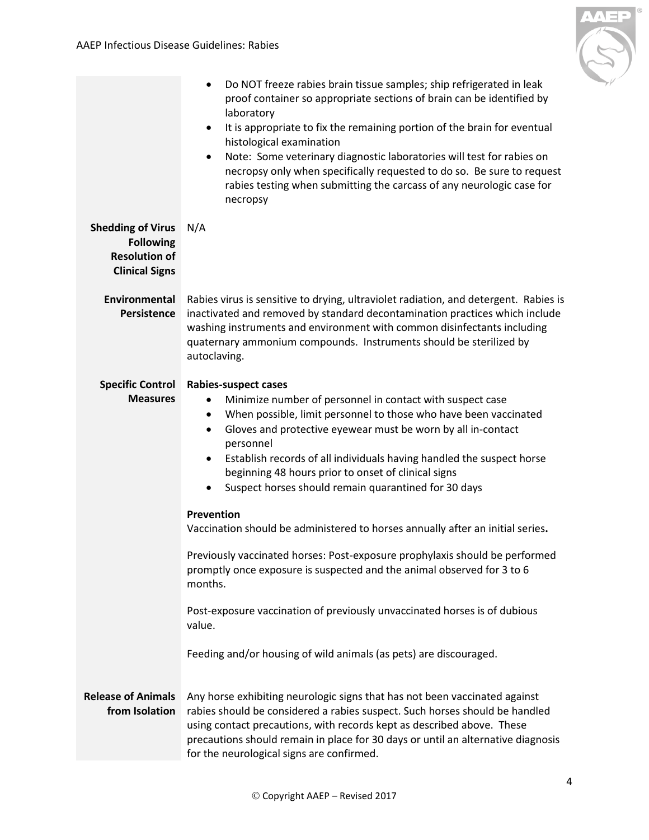

<span id="page-3-3"></span><span id="page-3-2"></span><span id="page-3-1"></span><span id="page-3-0"></span>

|                                                                                               | Do NOT freeze rabies brain tissue samples; ship refrigerated in leak<br>$\bullet$<br>proof container so appropriate sections of brain can be identified by<br>laboratory<br>It is appropriate to fix the remaining portion of the brain for eventual<br>$\bullet$<br>histological examination<br>Note: Some veterinary diagnostic laboratories will test for rabies on<br>$\bullet$<br>necropsy only when specifically requested to do so. Be sure to request<br>rabies testing when submitting the carcass of any neurologic case for<br>necropsy |
|-----------------------------------------------------------------------------------------------|----------------------------------------------------------------------------------------------------------------------------------------------------------------------------------------------------------------------------------------------------------------------------------------------------------------------------------------------------------------------------------------------------------------------------------------------------------------------------------------------------------------------------------------------------|
| <b>Shedding of Virus</b><br><b>Following</b><br><b>Resolution of</b><br><b>Clinical Signs</b> | N/A                                                                                                                                                                                                                                                                                                                                                                                                                                                                                                                                                |
| Environmental<br><b>Persistence</b>                                                           | Rabies virus is sensitive to drying, ultraviolet radiation, and detergent. Rabies is<br>inactivated and removed by standard decontamination practices which include<br>washing instruments and environment with common disinfectants including<br>quaternary ammonium compounds. Instruments should be sterilized by<br>autoclaving.                                                                                                                                                                                                               |
| <b>Specific Control</b><br><b>Measures</b>                                                    | Rabies-suspect cases<br>Minimize number of personnel in contact with suspect case<br>٠<br>When possible, limit personnel to those who have been vaccinated<br>$\bullet$<br>Gloves and protective eyewear must be worn by all in-contact<br>$\bullet$<br>personnel<br>Establish records of all individuals having handled the suspect horse<br>$\bullet$<br>beginning 48 hours prior to onset of clinical signs<br>Suspect horses should remain quarantined for 30 days<br>$\bullet$                                                                |
|                                                                                               | Prevention<br>Vaccination should be administered to horses annually after an initial series.<br>Previously vaccinated horses: Post-exposure prophylaxis should be performed<br>promptly once exposure is suspected and the animal observed for 3 to 6<br>months.                                                                                                                                                                                                                                                                                   |
|                                                                                               | Post-exposure vaccination of previously unvaccinated horses is of dubious<br>value.<br>Feeding and/or housing of wild animals (as pets) are discouraged.                                                                                                                                                                                                                                                                                                                                                                                           |
| <b>Release of Animals</b><br>from Isolation                                                   | Any horse exhibiting neurologic signs that has not been vaccinated against<br>rabies should be considered a rabies suspect. Such horses should be handled<br>using contact precautions, with records kept as described above. These<br>precautions should remain in place for 30 days or until an alternative diagnosis<br>for the neurological signs are confirmed.                                                                                                                                                                               |